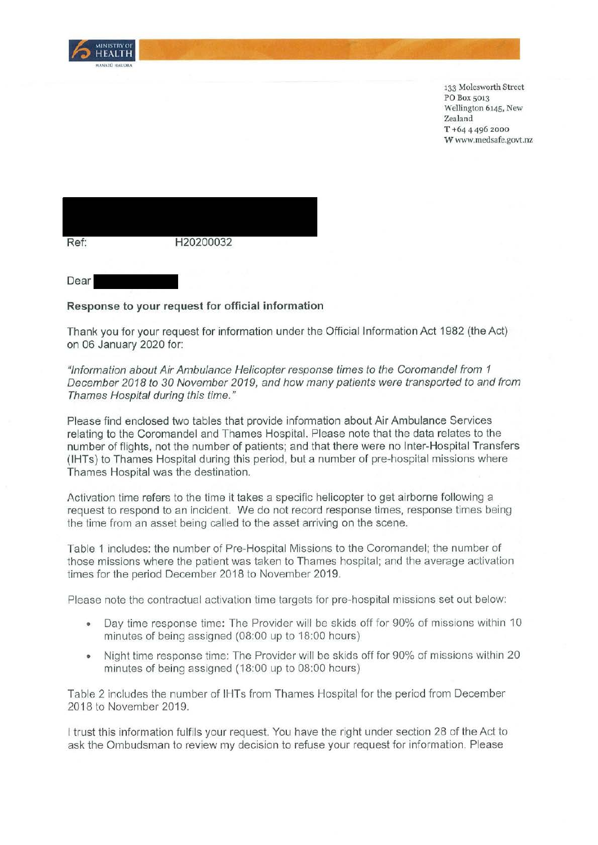

133 Molesworth Street PO Box 5013 Wellington 6145, New Zealand **T** +64 4 496 2000 **W** www.medsafe.govt.nz



## **Response to your request for official information**

Thank you for your request for information under the Official Information Act 1982 (the Act) on 06 January 2020 for:

## "Information about Air Ambulance Helicopter response times to the Coromandel from 1 December 2018 to 30 November 2019, and how many patients were transported to and from Thames Hospital during this time."

Please find enclosed two tables that provide information about Air Ambulance Services relating to the Coromandel and Thames Hospital. Please note that the data relates to the number of flights, not the number of patients; and that there were no Inter-Hospital Transfers (IHTs) to Thames Hospital during this period, but a number of pre-hospital missions where Thames Hospital was the destination.

Activation time refers to the time it takes a specific helicopter to get airborne following a request to respond to an incident. We do not record response times, response times being the time from an asset being called to the asset arriving on the scene.

Table 1 includes: the number of Pre-Hospital Missions to the Coromandel; the number of those missions where the patient was taken to Thames hospital; and the average activation times for the period December 2018 to November 2019.

Please note the contractual activation time targets for pre-hospital missions set out below:

- Day time response time: The Provider will be skids off for 90% of missions within 10 minutes of being assigned (08:00 up to 18:00 hours)
- Night time response time: The Provider will be skids off for 90% of missions within 20 minutes of being assigned (18:00 up to 08:00 hours)

Table 2 includes the number of IHTs from Thames Hospital for the period from December 2018 to November 2019.

I trust this information fulfils your request. You have the right under section 28 of the Act to ask the Ombudsman to review my decision to refuse your request for information. Please